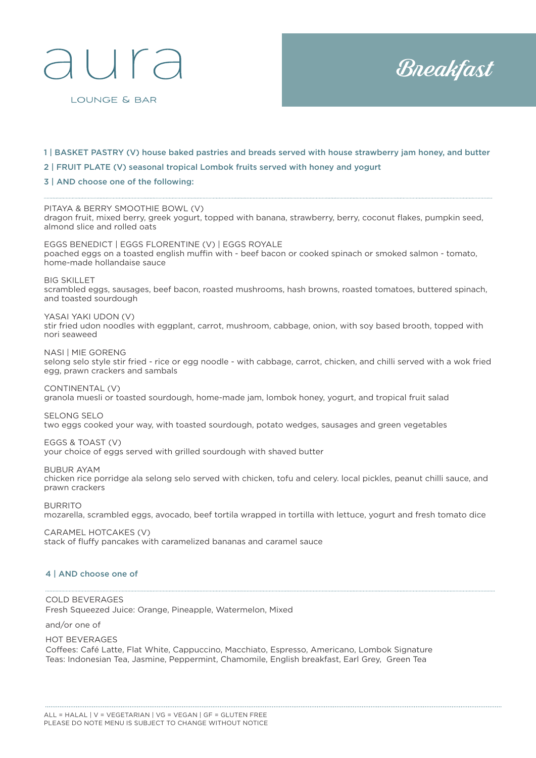## $\Box$

LOUNGE & BAR



- 1 | BASKET PASTRY (V) house baked pastries and breads served with house strawberry jam honey, and butter
- 2 | FRUIT PLATE (V) seasonal tropical Lombok fruits served with honey and yogurt
- 3 | AND choose one of the following:

PITAYA & BERRY SMOOTHIE BOWL (V) dragon fruit, mixed berry, greek yogurt, topped with banana, strawberry, berry, coconut flakes, pumpkin seed, almond slice and rolled oats EGGS BENEDICT | EGGS FLORENTINE (V) | EGGS ROYALE

poached eggs on a toasted english muffin with - beef bacon or cooked spinach or smoked salmon - tomato, home-made hollandaise sauce

BIG SKILLET

scrambled eggs, sausages, beef bacon, roasted mushrooms, hash browns, roasted tomatoes, buttered spinach, and toasted sourdough

YASAI YAKI UDON (V)

stir fried udon noodles with eggplant, carrot, mushroom, cabbage, onion, with soy based brooth, topped with nori seaweed

NASI | MIE GORENG selong selo style stir fried - rice or egg noodle - with cabbage, carrot, chicken, and chilli served with a wok fried egg, prawn crackers and sambals

CONTINENTAL (V) granola muesli or toasted sourdough, home-made jam, lombok honey, yogurt, and tropical fruit salad

SELONG SELO two eggs cooked your way, with toasted sourdough, potato wedges, sausages and green vegetables

EGGS & TOAST (V) your choice of eggs served with grilled sourdough with shaved butter

BUBUR AYAM chicken rice porridge ala selong selo served with chicken, tofu and celery. local pickles, peanut chilli sauce, and prawn crackers

BURRITO mozarella, scrambled eggs, avocado, beef tortila wrapped in tortilla with lettuce, yogurt and fresh tomato dice

CARAMEL HOTCAKES (V) stack of fluffy pancakes with caramelized bananas and caramel sauce

#### 4 | AND choose one of

COLD BEVERAGES Fresh Squeezed Juice: Orange, Pineapple, Watermelon, Mixed

and/or one of

HOT BEVERAGES Coffees: Café Latte, Flat White, Cappuccino, Macchiato, Espresso, Americano, Lombok Signature Teas: Indonesian Tea, Jasmine, Peppermint, Chamomile, English breakfast, Earl Grey, Green Tea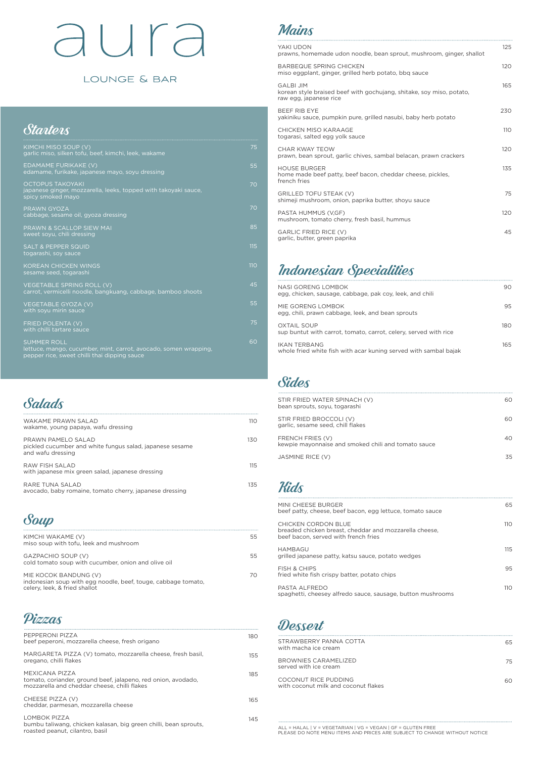# aura

#### LOUNGE & BAR

#### **Starters**

70

| KIMCHI MISO SOUP (V)<br>garlic miso, silken tofu, beef, kimchi, leek, wakame                                                           | 75  |
|----------------------------------------------------------------------------------------------------------------------------------------|-----|
| EDAMAME FURIKAKE (V)<br>edamame, furikake, japanese mayo, soyu dressing                                                                | 55  |
| <b>OCTOPUS TAKOYAKI</b><br>japanese ginger, mozzarella, leeks, topped with takoyaki sauce,<br>spicy smoked mayo                        | 70  |
| PRAWN GYOZA<br>cabbage, sesame oil, gyoza dressing                                                                                     | 70  |
| PRAWN & SCALLOP SIEW MAI<br>sweet soyu, chili dressing                                                                                 | 85  |
| <b>SALT &amp; PEPPER SQUID</b><br>togarashi, soy sauce                                                                                 | 115 |
| <b>KOREAN CHICKEN WINGS</b><br>sesame seed, togarashi                                                                                  | 110 |
| VEGETABLE SPRING ROLL (V)<br>carrot, vermicelli noodle, bangkuang, cabbage, bamboo shoots                                              | 45  |
| <b>VEGETABLE GYOZA (V)</b><br>with soyu mirin sauce                                                                                    | 55  |
| FRIED POLENTA (V)<br>with chilli tartare sauce                                                                                         | 75  |
| <b>SUMMER ROLL</b><br>lettuce, mango, cucumber, mint, carrot, avocado, somen wrapping,<br>pepper rice, sweet chilli thai dipping sauce | 60  |

| WAKAME PRAWN SAI AD<br>wakame, young papaya, wafu dressing                                          | 11 O |
|-----------------------------------------------------------------------------------------------------|------|
| PRAWN PAMFLO SALAD<br>pickled cucumber and white fungus salad, japanese sesame<br>and wafu dressing | 130  |
| RAW FISH SAI AD<br>with japanese mix green salad, japanese dressing                                 | 11.5 |
| RARF TUNA SAI AD<br>avocado, baby romaine, tomato cherry, japanese dressing                         | 135  |

| KIMCHI WAKAME (V)<br>miso soup with tofu, leek and mushroom               | 55 |
|---------------------------------------------------------------------------|----|
| GAZPACHIO SOUP (V)<br>cold tomato soup with cucumber, onion and olive oil | 55 |

| YAKI UDON<br>prawns, homemade udon noodle, bean sprout, mushroom, ginger, shallot                                  | 125 |
|--------------------------------------------------------------------------------------------------------------------|-----|
| <b>BARBEQUE SPRING CHICKEN</b><br>miso eggplant, ginger, grilled herb potato, bbg sauce                            | 120 |
| <b>GALBI JIM</b><br>korean style braised beef with gochujang, shitake, soy miso, potato,<br>raw egg, japanese rice | 165 |
| BEEF RIB EYE<br>yakiniku sauce, pumpkin pure, grilled nasubi, baby herb potato                                     | 230 |
| CHICKEN MISO KARAAGE<br>togarasi, salted egg yolk sauce                                                            | 110 |
| CHAR KWAY TEOW<br>prawn, bean sprout, garlic chives, sambal belacan, prawn crackers                                | 120 |
| <b>HOUSE BURGER</b><br>home made beef patty, beef bacon, cheddar cheese, pickles,<br>french fries                  | 135 |
| GRILLED TOFU STEAK (V)<br>shimeji mushroom, onion, paprika butter, shoyu sauce                                     | 75  |
| PASTA HUMMUS (V,GF)<br>mushroom, tomato cherry, fresh basil, hummus                                                | 120 |
| <b>GARLIC FRIED RICE (V)</b><br>garlic, butter, green paprika                                                      | 45  |

MIE KOCOK BANDUNG (V) indonesian soup with egg noodle, beef, touge, cabbage tomato, celery, leek, & fried shallot



Soup

#### Mains

#### Sides

| STIR FRIED WATER SPINACH (V)<br>bean sprouts, soyu, togarashi           | 60. |
|-------------------------------------------------------------------------|-----|
| STIR FRIED BROCCOLI (V)<br>garlic, sesame seed, chill flakes            | 60. |
| FRENCH FRIES (V)<br>kewpie mayonnaise and smoked chili and tomato sauce | 40  |
| JASMINE RICE (V)                                                        | 35  |

**Kids** 

| MINI CHEESE BURGER<br>beef patty, cheese, beef bacon, egg lettuce, tomato sauce                                       | 65   |
|-----------------------------------------------------------------------------------------------------------------------|------|
| CHICKEN CORDON BLUE<br>breaded chicken breast, cheddar and mozzarella cheese,<br>beef bacon, served with french fries | 11 O |
| HAMBAGU<br>grilled japanese patty, katsu sauce, potato wedges                                                         | 115  |
| <b>FISH &amp; CHIPS</b>                                                                                               | 95   |

fried white fish crispy batter, potato chips

| Vizzas                                                                                                                          |     | Dessert                                 |
|---------------------------------------------------------------------------------------------------------------------------------|-----|-----------------------------------------|
| PEPPERONI PIZZA<br>beef peperoni, mozzarella cheese, fresh origano                                                              | 180 | <b>STRAWBERRY</b><br>with macha ice     |
| MARGARETA PIZZA (V) tomato, mozzarella cheese, fresh basil,<br>oregano, chilli flakes                                           | 155 | <b>BROWNIES CAI</b><br>served with ice  |
| MEXICANA PIZZA<br>tomato, coriander, ground beef, jalapeno, red onion, avodado,<br>mozzarella and cheddar cheese, chilli flakes | 185 | <b>COCONUT RICE</b><br>with coconut m   |
| CHEESE PIZZA (V)<br>cheddar, parmesan, mozzarella cheese                                                                        | 165 |                                         |
| LOMBOK PIZZA<br>bumbu taliwang, chicken kalasan, big green chilli, bean sprouts,<br>roasted peanut, cilantro, basil             | 145 | $ALL = HALAL$   V =<br>PLEASE DO NOTE I |

PASTA ALFREDO spaghetti, cheesey alfredo sauce, sausage, button mushrooms

110

| STRAWBERRY PANNA COTTA<br>with macha ice cream               | 65 |
|--------------------------------------------------------------|----|
| BROWNIES CARAMELIZED<br>served with ice cream                | 75 |
| COCONUT RICE PUDDING<br>with coconut milk and coconut flakes | ഹ  |
|                                                              |    |

ALL = HALAL | V = VEGETARIAN | VG = VEGAN | GF = GLUTEN FREE PLEASE DO NOTE MENU ITEMS AND PRICES ARE SUBJECT TO CHANGE WITHOUT NOTICE

| NASI GORENG LOMBOK<br>egg, chicken, sausage, cabbage, pak coy, leek, and chili         | 90  |
|----------------------------------------------------------------------------------------|-----|
| MIE GORENG LOMBOK<br>egg, chili, prawn cabbage, leek, and bean sprouts                 | 95  |
| <b>OXTAIL SOUP</b><br>sup buntut with carrot, tomato, carrot, celery, served with rice | 180 |
| IKAN TERBANG<br>whole fried white fish with acar kuning served with sambal bajak       | 165 |

#### Indonesian Specialities